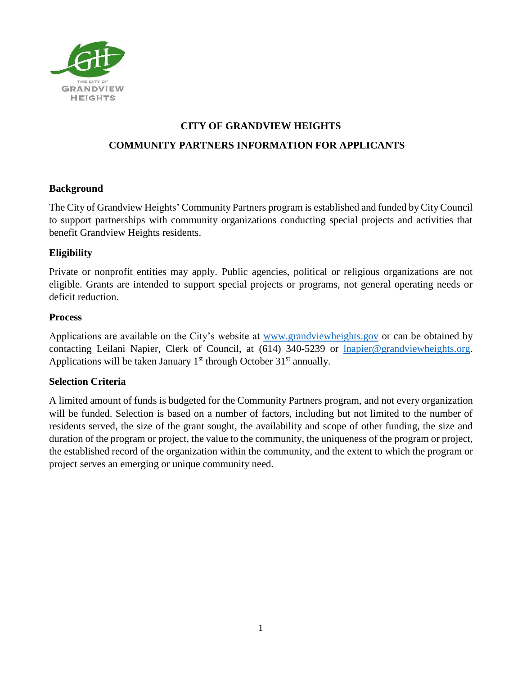

## **CITY OF GRANDVIEW HEIGHTS**

## **COMMUNITY PARTNERS INFORMATION FOR APPLICANTS**

### **Background**

The City of Grandview Heights' Community Partners program is established and funded byCityCouncil to support partnerships with community organizations conducting special projects and activities that benefit Grandview Heights residents.

## **Eligibility**

Private or nonprofit entities may apply. Public agencies, political or religious organizations are not eligible. Grants are intended to support special projects or programs, not general operating needs or deficit reduction.

#### **Process**

Applications are available on the City's website at www.grandviewheights.gov or can be obtained by contacting Leilani Napier, Clerk of Council, at (614) 340-5239 or [lnapier@grandviewheights.org.](mailto:lnapier@grandviewheights.org) Applications will be taken January  $1<sup>st</sup>$  through October  $31<sup>st</sup>$  annually.

## **Selection Criteria**

A limited amount of funds is budgeted for the Community Partners program, and not every organization will be funded. Selection is based on a number of factors, including but not limited to the number of residents served, the size of the grant sought, the availability and scope of other funding, the size and duration of the program or project, the value to the community, the uniqueness of the program or project, the established record of the organization within the community, and the extent to which the program or project serves an emerging or unique community need.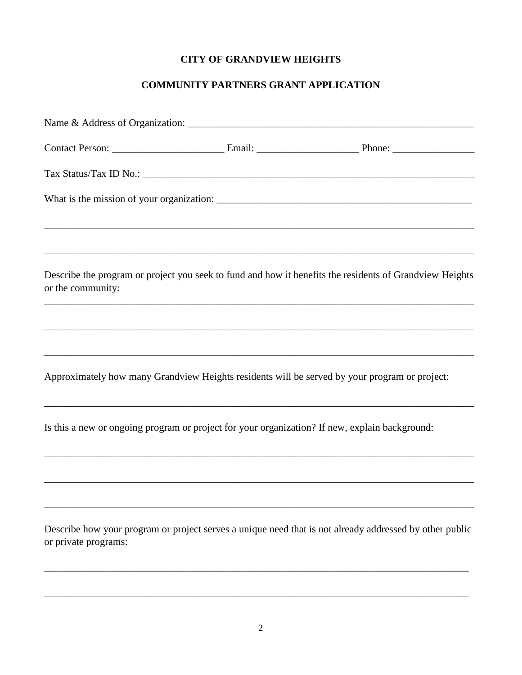# **CITY OF GRANDVIEW HEIGHTS**

# **COMMUNITY PARTNERS GRANT APPLICATION**

|                      | Describe the program or project you seek to fund and how it benefits the residents of Grandview Heights |
|----------------------|---------------------------------------------------------------------------------------------------------|
| or the community:    |                                                                                                         |
|                      |                                                                                                         |
|                      | Approximately how many Grandview Heights residents will be served by your program or project:           |
|                      | Is this a new or ongoing program or project for your organization? If new, explain background:          |
|                      |                                                                                                         |
|                      |                                                                                                         |
| or private programs: | Describe how your program or project serves a unique need that is not already addressed by other public |

\_\_\_\_\_\_\_\_\_\_\_\_\_\_\_\_\_\_\_\_\_\_\_\_\_\_\_\_\_\_\_\_\_\_\_\_\_\_\_\_\_\_\_\_\_\_\_\_\_\_\_\_\_\_\_\_\_\_\_\_\_\_\_\_\_\_\_\_\_\_\_\_\_\_\_\_\_\_\_\_\_\_\_

\_\_\_\_\_\_\_\_\_\_\_\_\_\_\_\_\_\_\_\_\_\_\_\_\_\_\_\_\_\_\_\_\_\_\_\_\_\_\_\_\_\_\_\_\_\_\_\_\_\_\_\_\_\_\_\_\_\_\_\_\_\_\_\_\_\_\_\_\_\_\_\_\_\_\_\_\_\_\_\_\_\_\_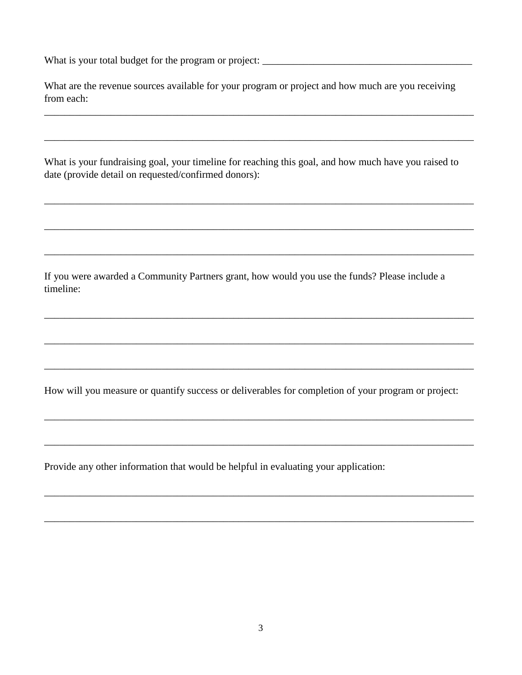What is your total budget for the program or project: \_\_\_\_\_\_\_\_\_\_\_\_\_\_\_\_\_\_\_\_\_\_\_\_\_\_\_\_\_\_\_\_\_\_\_\_\_\_\_\_\_

What are the revenue sources available for your program or project and how much are you receiving from each:

\_\_\_\_\_\_\_\_\_\_\_\_\_\_\_\_\_\_\_\_\_\_\_\_\_\_\_\_\_\_\_\_\_\_\_\_\_\_\_\_\_\_\_\_\_\_\_\_\_\_\_\_\_\_\_\_\_\_\_\_\_\_\_\_\_\_\_\_\_\_\_\_\_\_\_\_\_\_\_\_\_\_\_\_

\_\_\_\_\_\_\_\_\_\_\_\_\_\_\_\_\_\_\_\_\_\_\_\_\_\_\_\_\_\_\_\_\_\_\_\_\_\_\_\_\_\_\_\_\_\_\_\_\_\_\_\_\_\_\_\_\_\_\_\_\_\_\_\_\_\_\_\_\_\_\_\_\_\_\_\_\_\_\_\_\_\_\_\_

\_\_\_\_\_\_\_\_\_\_\_\_\_\_\_\_\_\_\_\_\_\_\_\_\_\_\_\_\_\_\_\_\_\_\_\_\_\_\_\_\_\_\_\_\_\_\_\_\_\_\_\_\_\_\_\_\_\_\_\_\_\_\_\_\_\_\_\_\_\_\_\_\_\_\_\_\_\_\_\_\_\_\_\_

\_\_\_\_\_\_\_\_\_\_\_\_\_\_\_\_\_\_\_\_\_\_\_\_\_\_\_\_\_\_\_\_\_\_\_\_\_\_\_\_\_\_\_\_\_\_\_\_\_\_\_\_\_\_\_\_\_\_\_\_\_\_\_\_\_\_\_\_\_\_\_\_\_\_\_\_\_\_\_\_\_\_\_\_

\_\_\_\_\_\_\_\_\_\_\_\_\_\_\_\_\_\_\_\_\_\_\_\_\_\_\_\_\_\_\_\_\_\_\_\_\_\_\_\_\_\_\_\_\_\_\_\_\_\_\_\_\_\_\_\_\_\_\_\_\_\_\_\_\_\_\_\_\_\_\_\_\_\_\_\_\_\_\_\_\_\_\_\_

\_\_\_\_\_\_\_\_\_\_\_\_\_\_\_\_\_\_\_\_\_\_\_\_\_\_\_\_\_\_\_\_\_\_\_\_\_\_\_\_\_\_\_\_\_\_\_\_\_\_\_\_\_\_\_\_\_\_\_\_\_\_\_\_\_\_\_\_\_\_\_\_\_\_\_\_\_\_\_\_\_\_\_\_

\_\_\_\_\_\_\_\_\_\_\_\_\_\_\_\_\_\_\_\_\_\_\_\_\_\_\_\_\_\_\_\_\_\_\_\_\_\_\_\_\_\_\_\_\_\_\_\_\_\_\_\_\_\_\_\_\_\_\_\_\_\_\_\_\_\_\_\_\_\_\_\_\_\_\_\_\_\_\_\_\_\_\_\_

\_\_\_\_\_\_\_\_\_\_\_\_\_\_\_\_\_\_\_\_\_\_\_\_\_\_\_\_\_\_\_\_\_\_\_\_\_\_\_\_\_\_\_\_\_\_\_\_\_\_\_\_\_\_\_\_\_\_\_\_\_\_\_\_\_\_\_\_\_\_\_\_\_\_\_\_\_\_\_\_\_\_\_\_

\_\_\_\_\_\_\_\_\_\_\_\_\_\_\_\_\_\_\_\_\_\_\_\_\_\_\_\_\_\_\_\_\_\_\_\_\_\_\_\_\_\_\_\_\_\_\_\_\_\_\_\_\_\_\_\_\_\_\_\_\_\_\_\_\_\_\_\_\_\_\_\_\_\_\_\_\_\_\_\_\_\_\_\_

\_\_\_\_\_\_\_\_\_\_\_\_\_\_\_\_\_\_\_\_\_\_\_\_\_\_\_\_\_\_\_\_\_\_\_\_\_\_\_\_\_\_\_\_\_\_\_\_\_\_\_\_\_\_\_\_\_\_\_\_\_\_\_\_\_\_\_\_\_\_\_\_\_\_\_\_\_\_\_\_\_\_\_\_

\_\_\_\_\_\_\_\_\_\_\_\_\_\_\_\_\_\_\_\_\_\_\_\_\_\_\_\_\_\_\_\_\_\_\_\_\_\_\_\_\_\_\_\_\_\_\_\_\_\_\_\_\_\_\_\_\_\_\_\_\_\_\_\_\_\_\_\_\_\_\_\_\_\_\_\_\_\_\_\_\_\_\_\_

\_\_\_\_\_\_\_\_\_\_\_\_\_\_\_\_\_\_\_\_\_\_\_\_\_\_\_\_\_\_\_\_\_\_\_\_\_\_\_\_\_\_\_\_\_\_\_\_\_\_\_\_\_\_\_\_\_\_\_\_\_\_\_\_\_\_\_\_\_\_\_\_\_\_\_\_\_\_\_\_\_\_\_\_

What is your fundraising goal, your timeline for reaching this goal, and how much have you raised to date (provide detail on requested/confirmed donors):

If you were awarded a Community Partners grant, how would you use the funds? Please include a timeline:

How will you measure or quantify success or deliverables for completion of your program or project:

Provide any other information that would be helpful in evaluating your application: